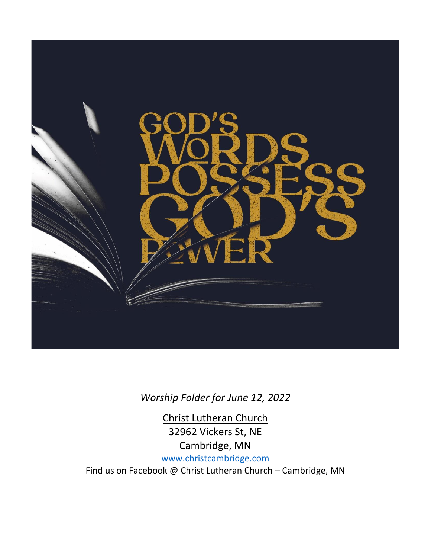

*Worship Folder for June 12, 2022*

Christ Lutheran Church 32962 Vickers St, NE Cambridge, MN [www.christcambridge.com](http://www.christcambridge.com/)

Find us on Facebook @ Christ Lutheran Church – Cambridge, MN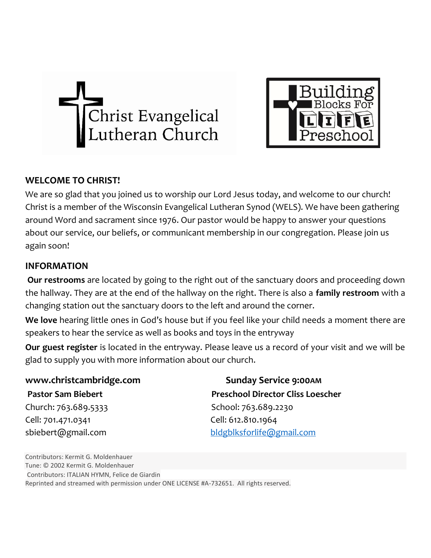



## **WELCOME TO CHRIST!**

We are so glad that you joined us to worship our Lord Jesus today, and welcome to our church! Christ is a member of the Wisconsin Evangelical Lutheran Synod (WELS). We have been gathering around Word and sacrament since 1976. Our pastor would be happy to answer your questions about our service, our beliefs, or communicant membership in our congregation. Please join us again soon!

### **INFORMATION**

**Our restrooms** are located by going to the right out of the sanctuary doors and proceeding down the hallway. They are at the end of the hallway on the right. There is also a **family restroom** with a changing station out the sanctuary doors to the left and around the corner.

**We love** hearing little ones in God's house but if you feel like your child needs a moment there are speakers to hear the service as well as books and toys in the entryway

**Our guest register** is located in the entryway. Please leave us a record of your visit and we will be glad to supply you with more information about our church.

Church: 763.689.5333 School: 763.689.2230 Cell: 701.471.0341 Cell: 612.810.1964 sbiebert@gmail.com [bldgblksforlife@gmail.com](mailto:bldgblksforlife@gmail.com)

**www.christcambridge.com** Sunday Service 9:00AM Pastor Sam Biebert **Pastor Sam Biebert Preschool Director Cliss Loescher** 

Contributors: Kermit G. Moldenhauer Tune: © 2002 Kermit G. Moldenhauer Contributors: ITALIAN HYMN, Felice de Giardin Reprinted and streamed with permission under ONE LICENSE #A-732651. All rights reserved.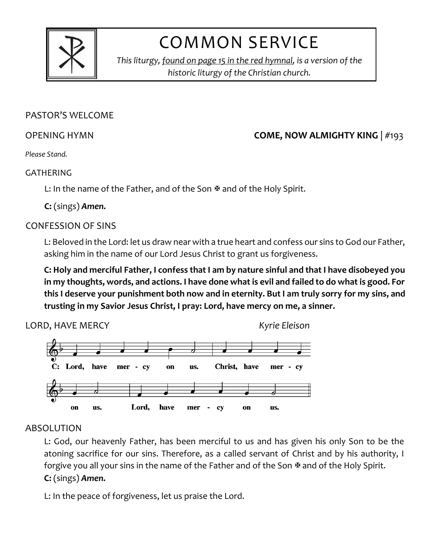

# COMMON SERVICE

*This liturgy, found on page 15 in the red hymnal, is a version of the historic liturgy of the Christian church.*

### PASTOR'S WELCOME

## **OPENING HYMN COME, NOW ALMIGHTY KING**  $\vert \#_{193}$

*Please Stand.*

### GATHERING

L: In the name of the Father, and of the Son  $\mathbb F$  and of the Holy Spirit.

**C:** (sings) *Amen.*

### CONFESSION OF SINS

L: Beloved in the Lord: let us draw near with a true heart and confess our sins to God our Father, asking him in the name of our Lord Jesus Christ to grant us forgiveness.

**C: Holy and merciful Father, I confess that I am by nature sinful and that I have disobeyed you in my thoughts, words, and actions. I have done what is evil and failed to do what is good. For this I deserve your punishment both now and in eternity. But I am truly sorry for my sins, and trusting in my Savior Jesus Christ, I pray: Lord, have mercy on me, a sinner.** 

LORD, HAVE MERCY *Kyrie Eleison*



### ABSOLUTION

L: God, our heavenly Father, has been merciful to us and has given his only Son to be the atoning sacrifice for our sins. Therefore, as a called servant of Christ and by his authority, I forgive you all your sins in the name of the Father and of the Son  $\mathbb F$  and of the Holy Spirit. **C:** (sings) *Amen.*

L: In the peace of forgiveness, let us praise the Lord.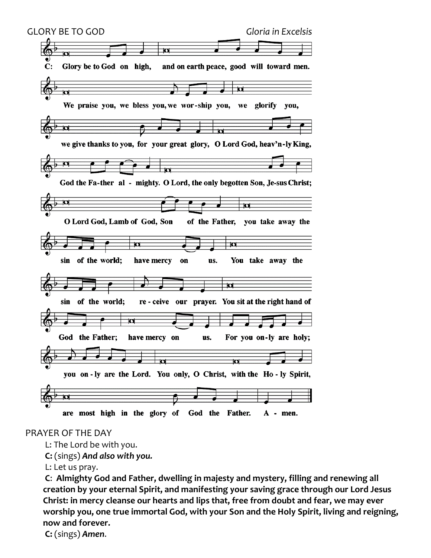

### PRAYER OF THE DAY

L: The Lord be with you.

**C:** (sings) *And also with you.*

L: Let us pray.

**C**: **Almighty God and Father, dwelling in majesty and mystery, filling and renewing all creation by your eternal Spirit, and manifesting your saving grace through our Lord Jesus Christ: in mercy cleanse our hearts and lips that, free from doubt and fear, we may ever worship you, one true immortal God, with your Son and the Holy Spirit, living and reigning, now and forever.**

**C:** (sings) *Amen*.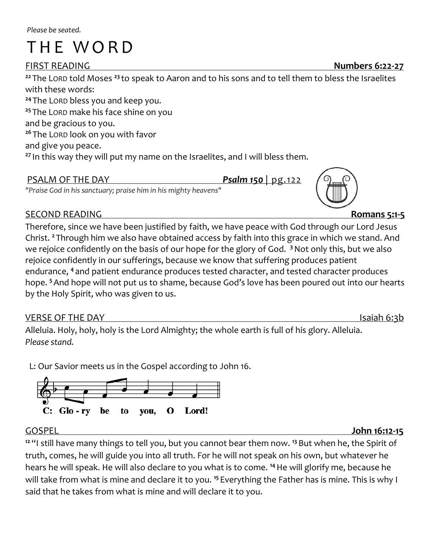# THE WORD

**<sup>22</sup>** The LORD told Moses **<sup>23</sup>** to speak to Aaron and to his sons and to tell them to bless the Israelites with these words: **<sup>24</sup>** The LORD bless you and keep you. **<sup>25</sup>** The LORD make his face shine on you and be gracious to you. **<sup>26</sup>** The LORD look on you with favor and give you peace. <sup>27</sup> In this way they will put my name on the Israelites, and I will bless them.

PSALM OF THE DAY *Psalm 150* | pg.122 *"Praise God in his sanctuary; praise him in his mighty heavens"*

### SECOND READING **Romans 5:1-5**

Therefore, since we have been justified by faith, we have peace with God through our Lord Jesus Christ. **<sup>2</sup>** Through him we also have obtained access by faith into this grace in which we stand. And we rejoice confidently on the basis of our hope for the glory of God. **<sup>3</sup>**Not only this, but we also rejoice confidently in our sufferings, because we know that suffering produces patient endurance, **<sup>4</sup>** and patient endurance produces tested character, and tested character produces hope. **<sup>5</sup>**And hope will not put us to shame, because God's love has been poured out into our hearts by the Holy Spirit, who was given to us.

### VERSE OF THE DAY Isaiah 6:3b

Alleluia. Holy, holy, holy is the Lord Almighty; the whole earth is full of his glory. Alleluia. *Please stand.*

L: Our Savior meets us in the Gospel according to John 16.



GOSPEL **John 16:12-15**

**<sup>12</sup>** "I still have many things to tell you, but you cannot bear them now. **<sup>13</sup>**But when he, the Spirit of truth, comes, he will guide you into all truth. For he will not speak on his own, but whatever he hears he will speak. He will also declare to you what is to come. **<sup>14</sup>**He will glorify me, because he will take from what is mine and declare it to you. **<sup>15</sup>** Everything the Father has is mine. This is why I said that he takes from what is mine and will declare it to you.

### FIRST READING **Numbers 6:22-27**

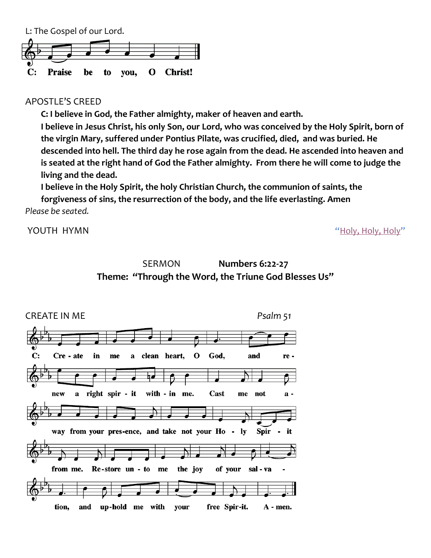

### APOSTLE'S CREED

**C: I believe in God, the Father almighty, maker of heaven and earth.**

**I believe in Jesus Christ, his only Son, our Lord, who was conceived by the Holy Spirit, born of the virgin Mary, suffered under Pontius Pilate, was crucified, died, and was buried. He descended into hell. The third day he rose again from the dead. He ascended into heaven and is seated at the right hand of God the Father almighty. From there he will come to judge the living and the dead.**

**I believe in the Holy Spirit, the holy Christian Church, the communion of saints, the forgiveness of sins, the resurrection of the body, and the life everlasting. Amen** *Please be seated.*

YOUTH HYMN "[Holy, Holy, Holy](https://youtu.be/jYEiY9JfUR8)"



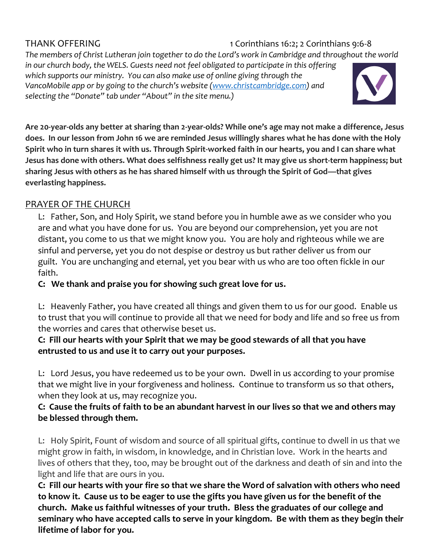THANK OFFERING 1 Corinthians 16:2; 2 Corinthians 9:6-8

*The members of Christ Lutheran join together to do the Lord's work in Cambridge and throughout the world in our church body, the WELS. Guests need not feel obligated to participate in this offering which supports our ministry. You can also make use of online giving through the VancoMobile app or by going to the church's website [\(www.christcambridge.com\)](http://www.christcambridge.com/)* and *selecting the "Donate" tab under "About" in the site menu.)*



**Are 20-year-olds any better at sharing than 2-year-olds? While one's age may not make a difference, Jesus does. In our lesson from John 16 we are reminded Jesus willingly shares what he has done with the Holy Spirit who in turn shares it with us. Through Spirit-worked faith in our hearts, you and I can share what Jesus has done with others. What does selfishness really get us? It may give us short-term happiness; but sharing Jesus with others as he has shared himself with us through the Spirit of God—that gives everlasting happiness.**

# PRAYER OF THE CHURCH

L: Father, Son, and Holy Spirit, we stand before you in humble awe as we consider who you are and what you have done for us. You are beyond our comprehension, yet you are not distant, you come to us that we might know you. You are holy and righteous while we are sinful and perverse, yet you do not despise or destroy us but rather deliver us from our guilt. You are unchanging and eternal, yet you bear with us who are too often fickle in our faith.

## **C: We thank and praise you for showing such great love for us.**

L: Heavenly Father, you have created all things and given them to us for our good. Enable us to trust that you will continue to provide all that we need for body and life and so free us from the worries and cares that otherwise beset us.

### **C: Fill our hearts with your Spirit that we may be good stewards of all that you have entrusted to us and use it to carry out your purposes.**

L: Lord Jesus, you have redeemed us to be your own. Dwell in us according to your promise that we might live in your forgiveness and holiness. Continue to transform us so that others, when they look at us, may recognize you.

## **C: Cause the fruits of faith to be an abundant harvest in our lives so that we and others may be blessed through them.**

L: Holy Spirit, Fount of wisdom and source of all spiritual gifts, continue to dwell in us that we might grow in faith, in wisdom, in knowledge, and in Christian love. Work in the hearts and lives of others that they, too, may be brought out of the darkness and death of sin and into the light and life that are ours in you.

**C: Fill our hearts with your fire so that we share the Word of salvation with others who need to know it. Cause us to be eager to use the gifts you have given us for the benefit of the church. Make us faithful witnesses of your truth. Bless the graduates of our college and seminary who have accepted calls to serve in your kingdom. Be with them as they begin their lifetime of labor for you.**